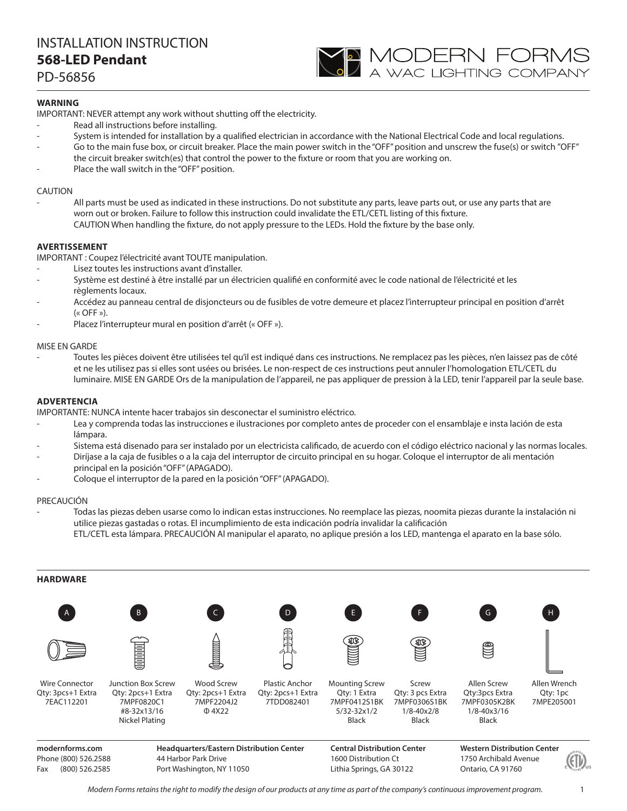## INSTALLATION INSTRUCTION **568-LED Pendant**

PD-56856

## **WARNING**

IMPORTANT: NEVER attempt any work without shutting off the electricity.

- Read all instructions before installing.
- System is intended for installation by a qualified electrician in accordance with the National Electrical Code and local regulations.

**YO MODERN FORMS**<br>A wac lighting company

- Go to the main fuse box, or circuit breaker. Place the main power switch in the "OFF" position and unscrew the fuse(s) or switch "OFF" the circuit breaker switch(es) that control the power to the fixture or room that you are working on.
- Place the wall switch in the "OFF" position.

## CAUTION

All parts must be used as indicated in these instructions. Do not substitute any parts, leave parts out, or use any parts that are worn out or broken. Failure to follow this instruction could invalidate the ETL/CETL listing of this fixture. CAUTION When handling the fixture, do not apply pressure to the LEDs. Hold the fixture by the base only.

## **AVERTISSEMENT**

IMPORTANT : Coupez l'électricité avant TOUTE manipulation.

- Lisez toutes les instructions avant d'installer.
- Système est destiné à être installé par un électricien qualifié en conformité avec le code national de l'électricité et les règlements locaux.
- Accédez au panneau central de disjoncteurs ou de fusibles de votre demeure et placez l'interrupteur principal en position d'arrêt  $(\kappa$  OFF »).
- Placez l'interrupteur mural en position d'arrêt (« OFF »).

## MISE EN GARDE

- Toutes les pièces doivent être utilisées tel qu'il est indiqué dans ces instructions. Ne remplacez pas les pièces, n'en laissez pas de côté et ne les utilisez pas si elles sont usées ou brisées. Le non-respect de ces instructions peut annuler l'homologation ETL/CETL du luminaire. MISE EN GARDE Ors de la manipulation de l'appareil, ne pas appliquer de pression à la LED, tenir l'appareil par la seule base.

## **ADVERTENCIA**

IMPORTANTE: NUNCA intente hacer trabajos sin desconectar el suministro eléctrico.

- Lea y comprenda todas las instrucciones e ilustraciones por completo antes de proceder con el ensamblaje e insta lación de esta lámpara.
- Sistema está disenado para ser instalado por un electricista calificado, de acuerdo con el código eléctrico nacional y las normas locales.
- Diríjase a la caja de fusibles o a la caja del interruptor de circuito principal en su hogar. Coloque el interruptor de ali mentación principal en la posición "OFF" (APAGADO).
- Coloque el interruptor de la pared en la posición "OFF" (APAGADO).

#### PRECAUCIÓN

- Todas las piezas deben usarse como lo indican estas instrucciones. No reemplace las piezas, noomita piezas durante la instalación ni utilice piezas gastadas o rotas. El incumplimiento de esta indicación podría invalidar la calificación ETL/CETL esta lámpara. PRECAUCIÓN Al manipular el aparato, no aplique presión a los LED, mantenga el aparato en la base sólo.